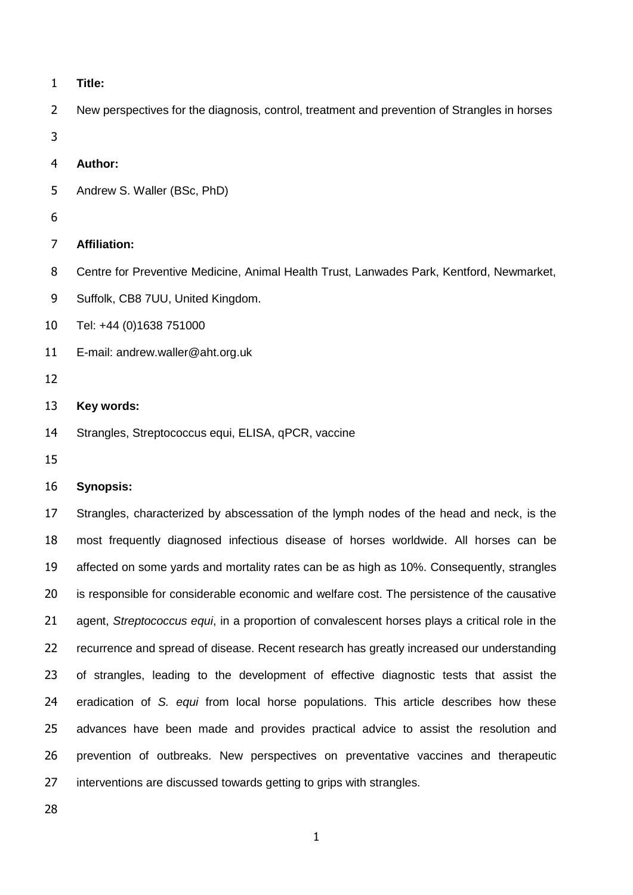- **Title:**
- New perspectives for the diagnosis, control, treatment and prevention of Strangles in horses
- 

#### **Author:**

- Andrew S. Waller (BSc, PhD)
- 

# **Affiliation:**

- Centre for Preventive Medicine, Animal Health Trust, Lanwades Park, Kentford, Newmarket,
- Suffolk, CB8 7UU, United Kingdom.
- Tel: +44 (0)1638 751000
- E-mail: andrew.waller@aht.org.uk
- 

#### **Key words:**

- Strangles, Streptococcus equi, ELISA, qPCR, vaccine
- 

## **Synopsis:**

 Strangles, characterized by abscessation of the lymph nodes of the head and neck, is the most frequently diagnosed infectious disease of horses worldwide. All horses can be affected on some yards and mortality rates can be as high as 10%. Consequently, strangles is responsible for considerable economic and welfare cost. The persistence of the causative agent, *Streptococcus equi*, in a proportion of convalescent horses plays a critical role in the recurrence and spread of disease. Recent research has greatly increased our understanding of strangles, leading to the development of effective diagnostic tests that assist the eradication of *S. equi* from local horse populations. This article describes how these advances have been made and provides practical advice to assist the resolution and prevention of outbreaks. New perspectives on preventative vaccines and therapeutic interventions are discussed towards getting to grips with strangles.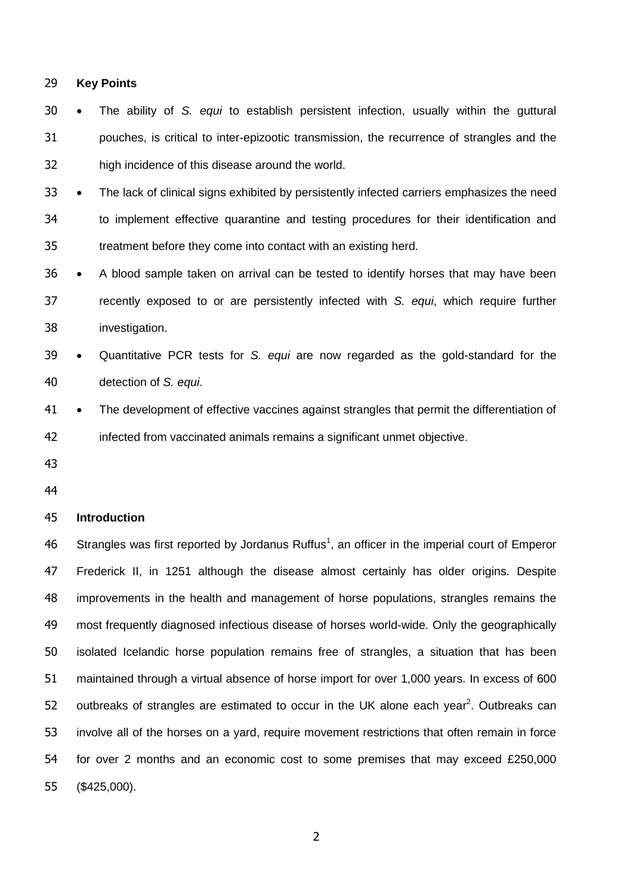### **Key Points**

 The ability of *S. equi* to establish persistent infection, usually within the guttural pouches, is critical to inter-epizootic transmission, the recurrence of strangles and the high incidence of this disease around the world.

33 • The lack of clinical signs exhibited by persistently infected carriers emphasizes the need to implement effective quarantine and testing procedures for their identification and treatment before they come into contact with an existing herd.

- 36 A blood sample taken on arrival can be tested to identify horses that may have been recently exposed to or are persistently infected with *S. equi*, which require further investigation.
- Quantitative PCR tests for *S. equi* are now regarded as the gold-standard for the detection of *S. equi*.
- 41 The development of effective vaccines against strangles that permit the differentiation of infected from vaccinated animals remains a significant unmet objective.
- 
- 

### **Introduction**

46 Strangles was first reported by Jordanus Ruffus<sup>1</sup>, an officer in the imperial court of Emperor Frederick II, in 1251 although the disease almost certainly has older origins. Despite improvements in the health and management of horse populations, strangles remains the most frequently diagnosed infectious disease of horses world-wide. Only the geographically isolated Icelandic horse population remains free of strangles, a situation that has been maintained through a virtual absence of horse import for over 1,000 years. In excess of 600 52 outbreaks of strangles are estimated to occur in the UK alone each year<sup>2</sup>. Outbreaks can involve all of the horses on a yard, require movement restrictions that often remain in force for over 2 months and an economic cost to some premises that may exceed £250,000 (\$425,000).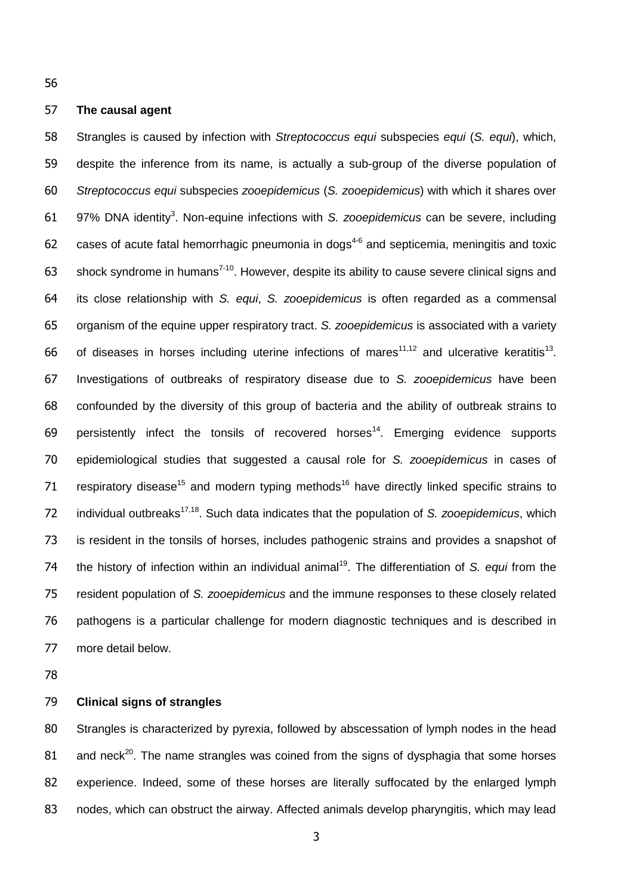#### **The causal agent**

 Strangles is caused by infection with *Streptococcus equi* subspecies *equi* (*S. equi*), which, despite the inference from its name, is actually a sub-group of the diverse population of *Streptococcus equi* subspecies *zooepidemicus* (*S. zooepidemicus*) with which it shares over 61 97% DNA identity<sup>3</sup>. Non-equine infections with *S. zooepidemicus* can be severe, including 62 cases of acute fatal hemorrhagic pneumonia in dogs<sup>4-6</sup> and septicemia, meningitis and toxic 63 shock syndrome in humans<sup>7-10</sup>. However, despite its ability to cause severe clinical signs and its close relationship with *S. equi*, *S. zooepidemicus* is often regarded as a commensal organism of the equine upper respiratory tract. *S. zooepidemicus* is associated with a variety 66 of diseases in horses including uterine infections of mares<sup>11,12</sup> and ulcerative keratitis<sup>13</sup>. Investigations of outbreaks of respiratory disease due to *S. zooepidemicus* have been confounded by the diversity of this group of bacteria and the ability of outbreak strains to 69 persistently infect the tonsils of recovered horses<sup>14</sup>. Emerging evidence supports epidemiological studies that suggested a causal role for *S. zooepidemicus* in cases of 71 respiratory disease<sup>15</sup> and modern typing methods<sup>16</sup> have directly linked specific strains to 72 individual outbreaks<sup>17,18</sup>. Such data indicates that the population of *S. zooepidemicus*, which is resident in the tonsils of horses, includes pathogenic strains and provides a snapshot of 74 the history of infection within an individual animal<sup>19</sup>. The differentiation of *S. equi* from the resident population of *S. zooepidemicus* and the immune responses to these closely related pathogens is a particular challenge for modern diagnostic techniques and is described in more detail below.

### **Clinical signs of strangles**

 Strangles is characterized by pyrexia, followed by abscessation of lymph nodes in the head 81 and neck<sup>20</sup>. The name strangles was coined from the signs of dysphagia that some horses experience. Indeed, some of these horses are literally suffocated by the enlarged lymph nodes, which can obstruct the airway. Affected animals develop pharyngitis, which may lead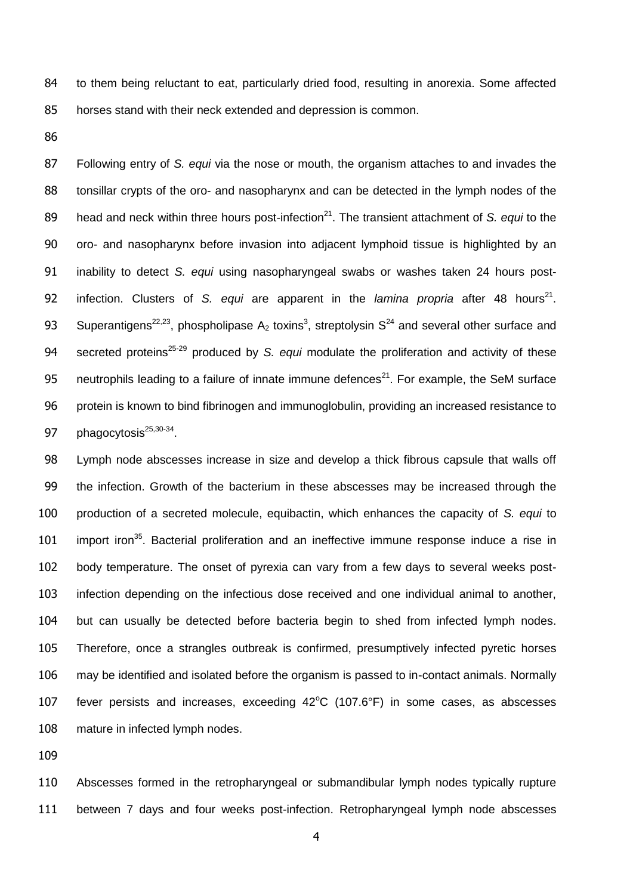to them being reluctant to eat, particularly dried food, resulting in anorexia. Some affected horses stand with their neck extended and depression is common.

 Following entry of *S. equi* via the nose or mouth, the organism attaches to and invades the tonsillar crypts of the oro- and nasopharynx and can be detected in the lymph nodes of the head and neck within three hours post-infection<sup>21</sup> . The transient attachment of *S. equi* to the oro- and nasopharynx before invasion into adjacent lymphoid tissue is highlighted by an inability to detect *S. equi* using nasopharyngeal swabs or washes taken 24 hours post-92 infection. Clusters of *S. equi* are apparent in the *lamina propria* after 48 hours<sup>21</sup>. 93 Superantigens<sup>22,23</sup>, phospholipase  $A_2$  toxins<sup>3</sup>, streptolysin S<sup>24</sup> and several other surface and 94 secreted proteins<sup>25-29</sup> produced by *S. equi* modulate the proliferation and activity of these 95 neutrophils leading to a failure of innate immune defences<sup>21</sup>. For example, the SeM surface protein is known to bind fibrinogen and immunoglobulin, providing an increased resistance to 97  $phagocytosis<sup>25,30-34</sup>$ .

 Lymph node abscesses increase in size and develop a thick fibrous capsule that walls off the infection. Growth of the bacterium in these abscesses may be increased through the production of a secreted molecule, equibactin, which enhances the capacity of *S. equi* to 101 import iron<sup>35</sup>. Bacterial proliferation and an ineffective immune response induce a rise in body temperature. The onset of pyrexia can vary from a few days to several weeks post- infection depending on the infectious dose received and one individual animal to another, but can usually be detected before bacteria begin to shed from infected lymph nodes. Therefore, once a strangles outbreak is confirmed, presumptively infected pyretic horses may be identified and isolated before the organism is passed to in-contact animals. Normally 107 fever persists and increases, exceeding  $42^{\circ}$ C (107.6°F) in some cases, as abscesses mature in infected lymph nodes.

 Abscesses formed in the retropharyngeal or submandibular lymph nodes typically rupture between 7 days and four weeks post-infection. Retropharyngeal lymph node abscesses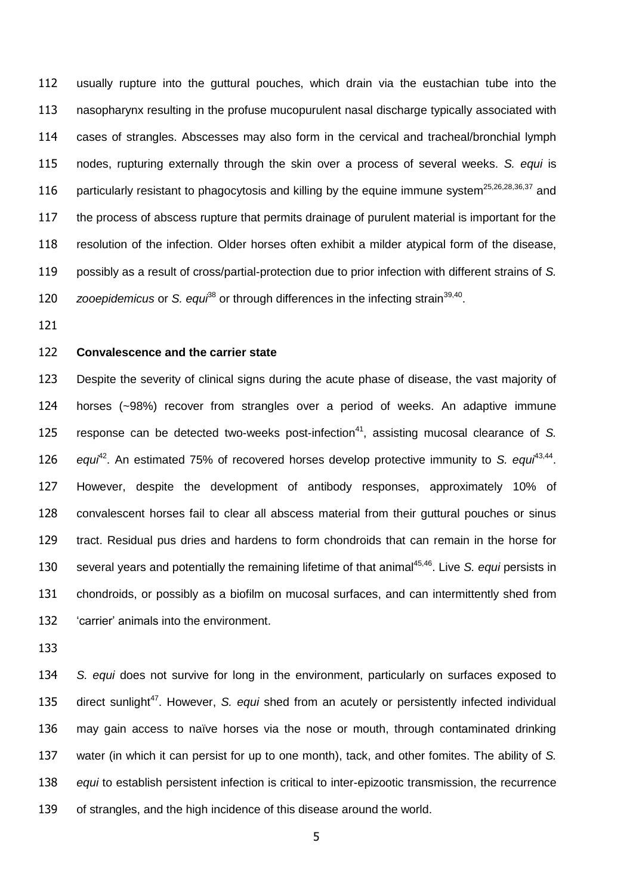usually rupture into the guttural pouches, which drain via the eustachian tube into the nasopharynx resulting in the profuse mucopurulent nasal discharge typically associated with cases of strangles. Abscesses may also form in the cervical and tracheal/bronchial lymph nodes, rupturing externally through the skin over a process of several weeks. *S. equi* is 116 particularly resistant to phagocytosis and killing by the equine immune system<sup>25,26,28,36,37</sup> and the process of abscess rupture that permits drainage of purulent material is important for the resolution of the infection. Older horses often exhibit a milder atypical form of the disease, possibly as a result of cross/partial-protection due to prior infection with different strains of *S. zooepidemicus* or *S. equi*<sup>38</sup> or through differences in the infecting strain<sup>39,40</sup>.

## **Convalescence and the carrier state**

 Despite the severity of clinical signs during the acute phase of disease, the vast majority of horses (~98%) recover from strangles over a period of weeks. An adaptive immune 125 response can be detected two-weeks post-infection<sup>41</sup>, assisting mucosal clearance of *S.* 126 equi<sup>42</sup>. An estimated 75% of recovered horses develop protective immunity to *S. equi*<sup>43,44</sup>. However, despite the development of antibody responses, approximately 10% of convalescent horses fail to clear all abscess material from their guttural pouches or sinus tract. Residual pus dries and hardens to form chondroids that can remain in the horse for 130 several years and potentially the remaining lifetime of that animal<sup>45,46</sup>. Live *S. equi* persists in chondroids, or possibly as a biofilm on mucosal surfaces, and can intermittently shed from 'carrier' animals into the environment.

 *S. equi* does not survive for long in the environment, particularly on surfaces exposed to 135 direct sunlight<sup>47</sup>. However, *S. equi* shed from an acutely or persistently infected individual may gain access to naïve horses via the nose or mouth, through contaminated drinking water (in which it can persist for up to one month), tack, and other fomites. The ability of *S. equi* to establish persistent infection is critical to inter-epizootic transmission, the recurrence of strangles, and the high incidence of this disease around the world.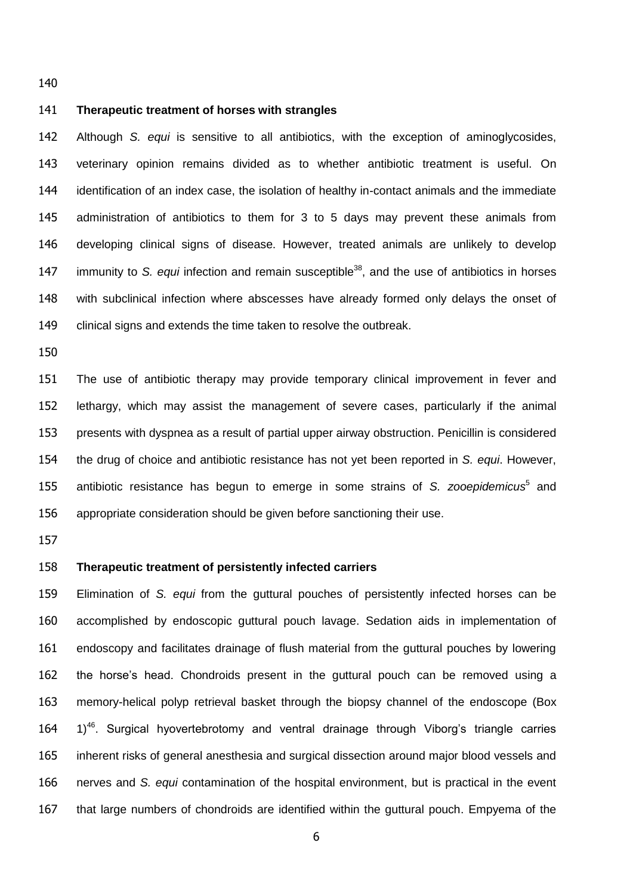#### **Therapeutic treatment of horses with strangles**

 Although *S. equi* is sensitive to all antibiotics, with the exception of aminoglycosides, veterinary opinion remains divided as to whether antibiotic treatment is useful. On identification of an index case, the isolation of healthy in-contact animals and the immediate administration of antibiotics to them for 3 to 5 days may prevent these animals from developing clinical signs of disease. However, treated animals are unlikely to develop 147 immunity to *S. equi* infection and remain susceptible<sup>38</sup>, and the use of antibiotics in horses with subclinical infection where abscesses have already formed only delays the onset of clinical signs and extends the time taken to resolve the outbreak.

 The use of antibiotic therapy may provide temporary clinical improvement in fever and lethargy, which may assist the management of severe cases, particularly if the animal presents with dyspnea as a result of partial upper airway obstruction. Penicillin is considered the drug of choice and antibiotic resistance has not yet been reported in *S. equi*. However, 155 antibiotic resistance has begun to emerge in some strains of *S. zooepidemicus*<sup>5</sup> and appropriate consideration should be given before sanctioning their use.

#### **Therapeutic treatment of persistently infected carriers**

 Elimination of *S. equi* from the guttural pouches of persistently infected horses can be accomplished by endoscopic guttural pouch lavage. Sedation aids in implementation of endoscopy and facilitates drainage of flush material from the guttural pouches by lowering the horse's head. Chondroids present in the guttural pouch can be removed using a memory-helical polyp retrieval basket through the biopsy channel of the endoscope (Box 1)<sup>46</sup>. Surgical hyovertebrotomy and ventral drainage through Viborg's triangle carries inherent risks of general anesthesia and surgical dissection around major blood vessels and nerves and *S. equi* contamination of the hospital environment, but is practical in the event that large numbers of chondroids are identified within the guttural pouch. Empyema of the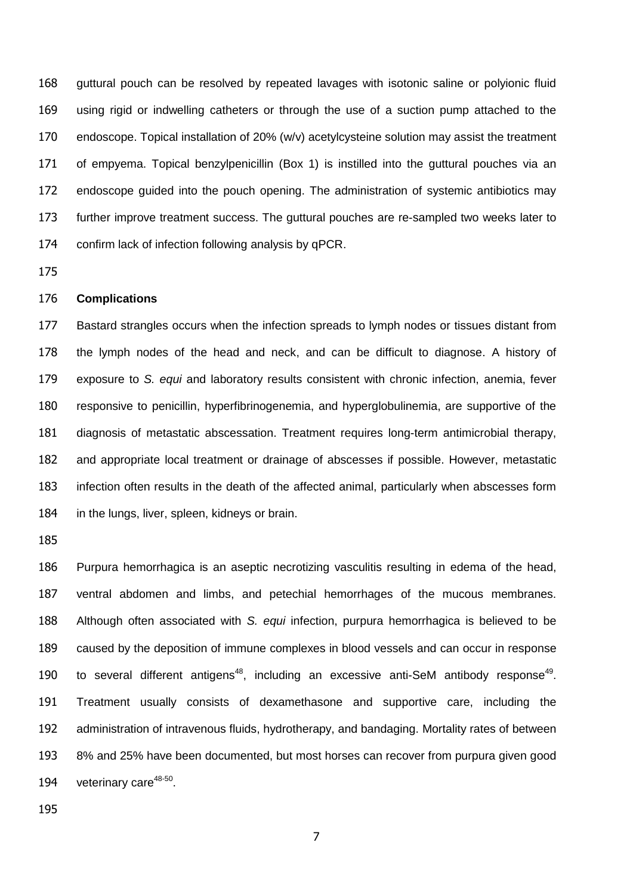guttural pouch can be resolved by repeated lavages with isotonic saline or polyionic fluid using rigid or indwelling catheters or through the use of a suction pump attached to the endoscope. Topical installation of 20% (w/v) acetylcysteine solution may assist the treatment of empyema. Topical benzylpenicillin (Box 1) is instilled into the guttural pouches via an endoscope guided into the pouch opening. The administration of systemic antibiotics may further improve treatment success. The guttural pouches are re-sampled two weeks later to confirm lack of infection following analysis by qPCR.

### **Complications**

 Bastard strangles occurs when the infection spreads to lymph nodes or tissues distant from the lymph nodes of the head and neck, and can be difficult to diagnose. A history of exposure to *S. equi* and laboratory results consistent with chronic infection, anemia, fever responsive to penicillin, hyperfibrinogenemia, and hyperglobulinemia, are supportive of the diagnosis of metastatic abscessation. Treatment requires long-term antimicrobial therapy, and appropriate local treatment or drainage of abscesses if possible. However, metastatic infection often results in the death of the affected animal, particularly when abscesses form in the lungs, liver, spleen, kidneys or brain.

 Purpura hemorrhagica is an aseptic necrotizing vasculitis resulting in edema of the head, ventral abdomen and limbs, and petechial hemorrhages of the mucous membranes. Although often associated with *S. equi* infection, purpura hemorrhagica is believed to be caused by the deposition of immune complexes in blood vessels and can occur in response 190 to several different antigens<sup>48</sup>, including an excessive anti-SeM antibody response<sup>49</sup>. Treatment usually consists of dexamethasone and supportive care, including the administration of intravenous fluids, hydrotherapy, and bandaging. Mortality rates of between 8% and 25% have been documented, but most horses can recover from purpura given good 194 veterinary care $48-50$ .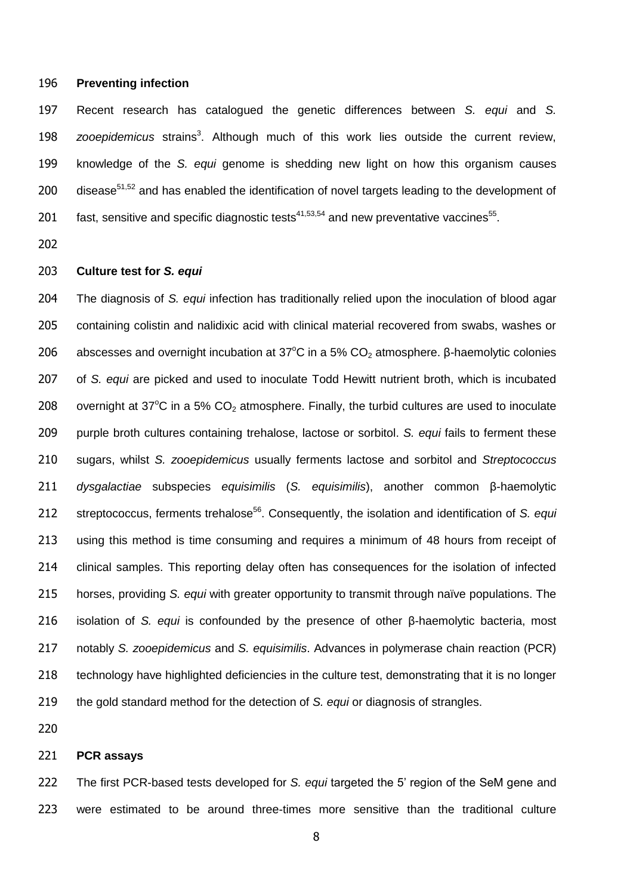#### **Preventing infection**

 Recent research has catalogued the genetic differences between *S. equi* and *S.*  198 *zooepidemicus* strains<sup>3</sup>. Although much of this work lies outside the current review, knowledge of the *S. equi* genome is shedding new light on how this organism causes 200 disease<sup>51,52</sup> and has enabled the identification of novel targets leading to the development of 201 fast, sensitive and specific diagnostic tests<sup>41,53,54</sup> and new preventative vaccines<sup>55</sup>.

# **Culture test for** *S. equi*

 The diagnosis of *S. equi* infection has traditionally relied upon the inoculation of blood agar containing colistin and nalidixic acid with clinical material recovered from swabs, washes or 206 abscesses and overnight incubation at 37°C in a 5%  $CO<sub>2</sub>$  atmosphere. β-haemolytic colonies of *S. equi* are picked and used to inoculate Todd Hewitt nutrient broth, which is incubated 208 overnight at 37°C in a 5%  $CO<sub>2</sub>$  atmosphere. Finally, the turbid cultures are used to inoculate purple broth cultures containing trehalose, lactose or sorbitol. *S. equi* fails to ferment these sugars, whilst *S. zooepidemicus* usually ferments lactose and sorbitol and *Streptococcus dysgalactiae* subspecies *equisimilis* (*S. equisimilis*), another common β-haemolytic 212 streptococcus, ferments trehalose<sup>56</sup>. Consequently, the isolation and identification of *S. equi*  using this method is time consuming and requires a minimum of 48 hours from receipt of clinical samples. This reporting delay often has consequences for the isolation of infected horses, providing *S. equi* with greater opportunity to transmit through naïve populations. The isolation of *S. equi* is confounded by the presence of other β-haemolytic bacteria, most notably *S. zooepidemicus* and *S. equisimilis*. Advances in polymerase chain reaction (PCR) 218 technology have highlighted deficiencies in the culture test, demonstrating that it is no longer the gold standard method for the detection of *S. equi* or diagnosis of strangles.

### **PCR assays**

 The first PCR-based tests developed for *S. equi* targeted the 5' region of the SeM gene and were estimated to be around three-times more sensitive than the traditional culture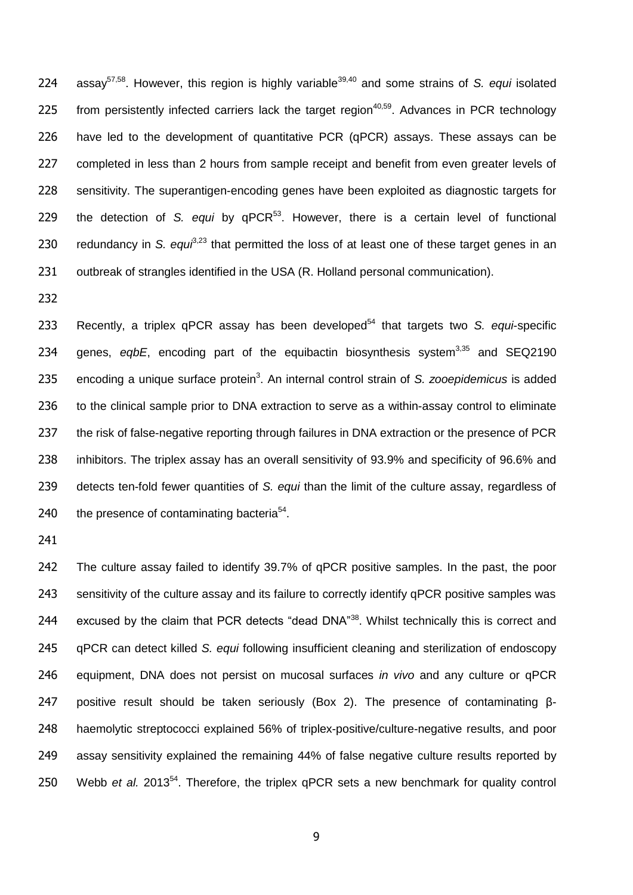224 assay<sup>57,58</sup>. However, this region is highly variable<sup>39,40</sup> and some strains of *S. equi* isolated 225 from persistently infected carriers lack the target region<sup>40,59</sup>. Advances in PCR technology 226 have led to the development of quantitative PCR (qPCR) assays. These assays can be 227 completed in less than 2 hours from sample receipt and benefit from even greater levels of 228 sensitivity. The superantigen-encoding genes have been exploited as diagnostic targets for 229 the detection of *S. equi* by qPCR<sup>53</sup>. However, there is a certain level of functional 230 redundancy in *S. equi*<sup>3,23</sup> that permitted the loss of at least one of these target genes in an 231 outbreak of strangles identified in the USA (R. Holland personal communication).

232

233 Recently, a triplex qPCR assay has been developed<sup>54</sup> that targets two *S. equi*-specific 234 genes, *egbE*, encoding part of the equibactin biosynthesis system<sup>3,35</sup> and SEQ2190 235 encoding a unique surface protein<sup>3</sup>. An internal control strain of *S. zooepidemicus* is added 236 to the clinical sample prior to DNA extraction to serve as a within-assay control to eliminate 237 the risk of false-negative reporting through failures in DNA extraction or the presence of PCR 238 inhibitors. The triplex assay has an overall sensitivity of 93.9% and specificity of 96.6% and 239 detects ten-fold fewer quantities of *S. equi* than the limit of the culture assay, regardless of 240 the presence of contaminating bacteria<sup>54</sup>.

241

 The culture assay failed to identify 39.7% of qPCR positive samples. In the past, the poor sensitivity of the culture assay and its failure to correctly identify qPCR positive samples was 244 excused by the claim that PCR detects "dead DNA"<sup>38</sup>. Whilst technically this is correct and qPCR can detect killed *S. equi* following insufficient cleaning and sterilization of endoscopy equipment, DNA does not persist on mucosal surfaces *in vivo* and any culture or qPCR positive result should be taken seriously (Box 2). The presence of contaminating β- haemolytic streptococci explained 56% of triplex-positive/culture-negative results, and poor assay sensitivity explained the remaining 44% of false negative culture results reported by 250 Webb *et al.* 2013<sup>54</sup>. Therefore, the triplex qPCR sets a new benchmark for quality control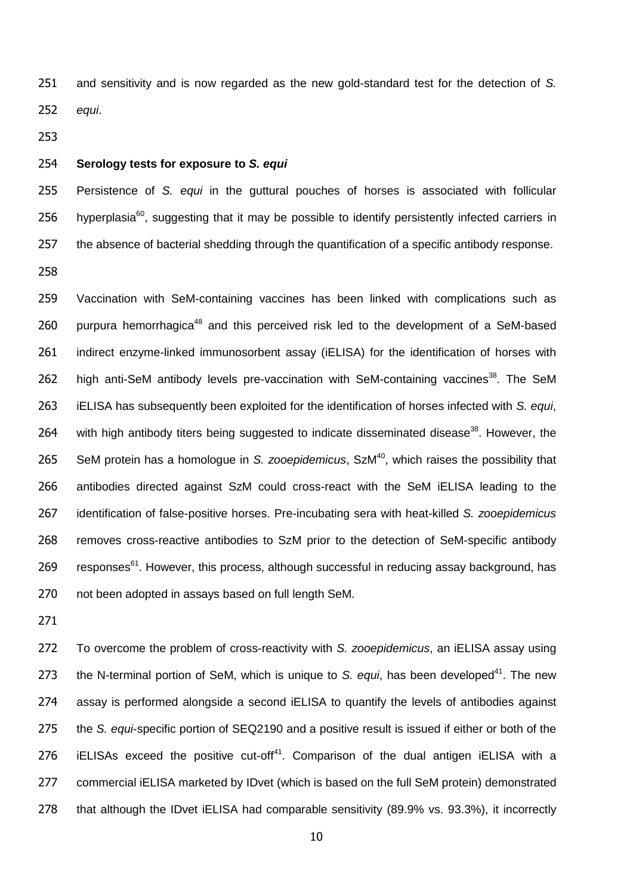and sensitivity and is now regarded as the new gold-standard test for the detection of *S. equi*.

# **Serology tests for exposure to** *S. equi*

 Persistence of *S. equi* in the guttural pouches of horses is associated with follicular hyperplasia<sup>60</sup>, suggesting that it may be possible to identify persistently infected carriers in 257 the absence of bacterial shedding through the quantification of a specific antibody response.

 Vaccination with SeM-containing vaccines has been linked with complications such as 260 purpura hemorrhagica<sup>48</sup> and this perceived risk led to the development of a SeM-based indirect enzyme-linked immunosorbent assay (iELISA) for the identification of horses with 262 high anti-SeM antibody levels pre-vaccination with SeM-containing vaccines<sup>38</sup>. The SeM iELISA has subsequently been exploited for the identification of horses infected with *S. equi*, 264 with high antibody titers being suggested to indicate disseminated disease<sup>38</sup>. However, the 265 SeM protein has a homologue in *S. zooepidemicus*, SzM<sup>40</sup>, which raises the possibility that antibodies directed against SzM could cross-react with the SeM iELISA leading to the identification of false-positive horses. Pre-incubating sera with heat-killed *S. zooepidemicus* removes cross-reactive antibodies to SzM prior to the detection of SeM-specific antibody 269 responses $<sup>61</sup>$ . However, this process, although successful in reducing assay background, has</sup> not been adopted in assays based on full length SeM.

 To overcome the problem of cross-reactivity with *S. zooepidemicus*, an iELISA assay using 273 the N-terminal portion of SeM, which is unique to *S. equi*, has been developed<sup>41</sup>. The new assay is performed alongside a second iELISA to quantify the levels of antibodies against the *S. equi*-specific portion of SEQ2190 and a positive result is issued if either or both of the 276 iELISAs exceed the positive cut-off. Comparison of the dual antigen iELISA with a commercial iELISA marketed by IDvet (which is based on the full SeM protein) demonstrated that although the IDvet iELISA had comparable sensitivity (89.9% vs. 93.3%), it incorrectly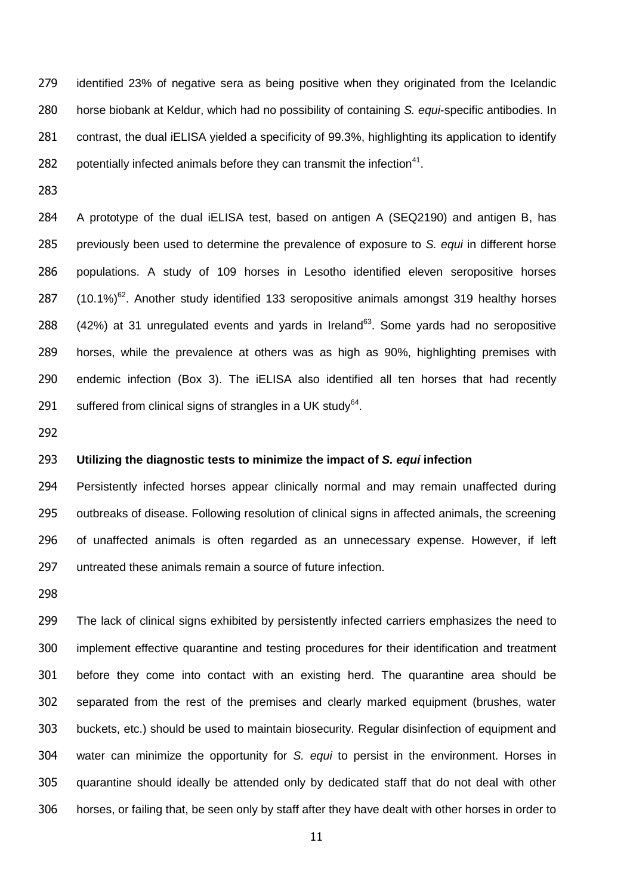identified 23% of negative sera as being positive when they originated from the Icelandic horse biobank at Keldur, which had no possibility of containing *S. equi*-specific antibodies. In contrast, the dual iELISA yielded a specificity of 99.3%, highlighting its application to identify 282 potentially infected animals before they can transmit the infection<sup>41</sup>.

 A prototype of the dual iELISA test, based on antigen A (SEQ2190) and antigen B, has previously been used to determine the prevalence of exposure to *S. equi* in different horse populations. A study of 109 horses in Lesotho identified eleven seropositive horses 287 (10.1%)<sup>62</sup>. Another study identified 133 seropositive animals amongst 319 healthy horses  $(42%)$  at 31 unregulated events and yards in Ireland<sup>63</sup>. Some yards had no seropositive horses, while the prevalence at others was as high as 90%, highlighting premises with endemic infection (Box 3). The iELISA also identified all ten horses that had recently 291 suffered from clinical signs of strangles in a UK study<sup>64</sup>.

## **Utilizing the diagnostic tests to minimize the impact of** *S. equi* **infection**

 Persistently infected horses appear clinically normal and may remain unaffected during outbreaks of disease. Following resolution of clinical signs in affected animals, the screening of unaffected animals is often regarded as an unnecessary expense. However, if left untreated these animals remain a source of future infection.

 The lack of clinical signs exhibited by persistently infected carriers emphasizes the need to implement effective quarantine and testing procedures for their identification and treatment before they come into contact with an existing herd. The quarantine area should be separated from the rest of the premises and clearly marked equipment (brushes, water buckets, etc.) should be used to maintain biosecurity. Regular disinfection of equipment and water can minimize the opportunity for *S. equi* to persist in the environment. Horses in quarantine should ideally be attended only by dedicated staff that do not deal with other horses, or failing that, be seen only by staff after they have dealt with other horses in order to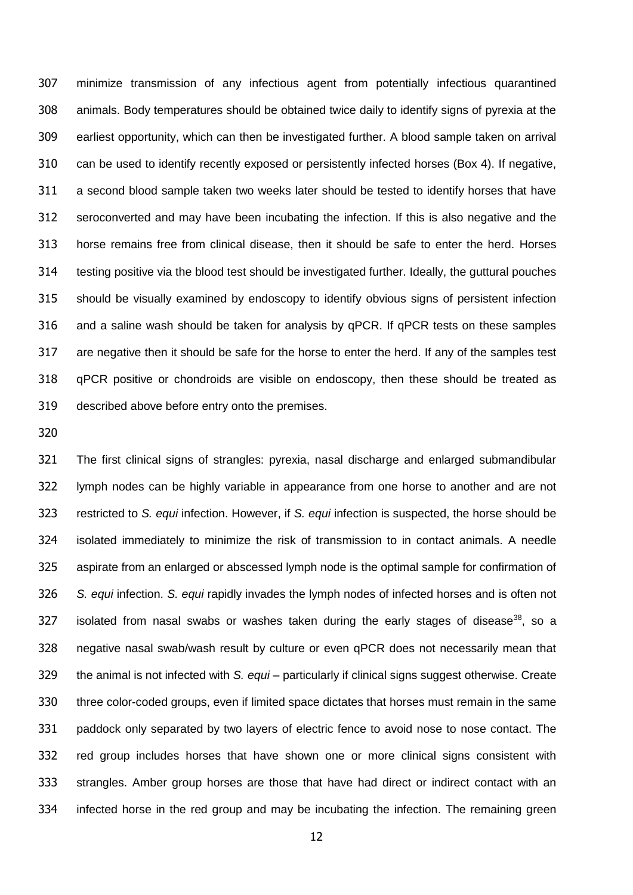minimize transmission of any infectious agent from potentially infectious quarantined animals. Body temperatures should be obtained twice daily to identify signs of pyrexia at the earliest opportunity, which can then be investigated further. A blood sample taken on arrival can be used to identify recently exposed or persistently infected horses (Box 4). If negative, a second blood sample taken two weeks later should be tested to identify horses that have seroconverted and may have been incubating the infection. If this is also negative and the horse remains free from clinical disease, then it should be safe to enter the herd. Horses testing positive via the blood test should be investigated further. Ideally, the guttural pouches should be visually examined by endoscopy to identify obvious signs of persistent infection and a saline wash should be taken for analysis by qPCR. If qPCR tests on these samples are negative then it should be safe for the horse to enter the herd. If any of the samples test qPCR positive or chondroids are visible on endoscopy, then these should be treated as described above before entry onto the premises.

 The first clinical signs of strangles: pyrexia, nasal discharge and enlarged submandibular lymph nodes can be highly variable in appearance from one horse to another and are not restricted to *S. equi* infection. However, if *S. equi* infection is suspected, the horse should be isolated immediately to minimize the risk of transmission to in contact animals. A needle aspirate from an enlarged or abscessed lymph node is the optimal sample for confirmation of *S. equi* infection. *S. equi* rapidly invades the lymph nodes of infected horses and is often not 327 isolated from nasal swabs or washes taken during the early stages of disease<sup>38</sup>, so a negative nasal swab/wash result by culture or even qPCR does not necessarily mean that the animal is not infected with *S. equi* – particularly if clinical signs suggest otherwise. Create three color-coded groups, even if limited space dictates that horses must remain in the same paddock only separated by two layers of electric fence to avoid nose to nose contact. The red group includes horses that have shown one or more clinical signs consistent with strangles. Amber group horses are those that have had direct or indirect contact with an infected horse in the red group and may be incubating the infection. The remaining green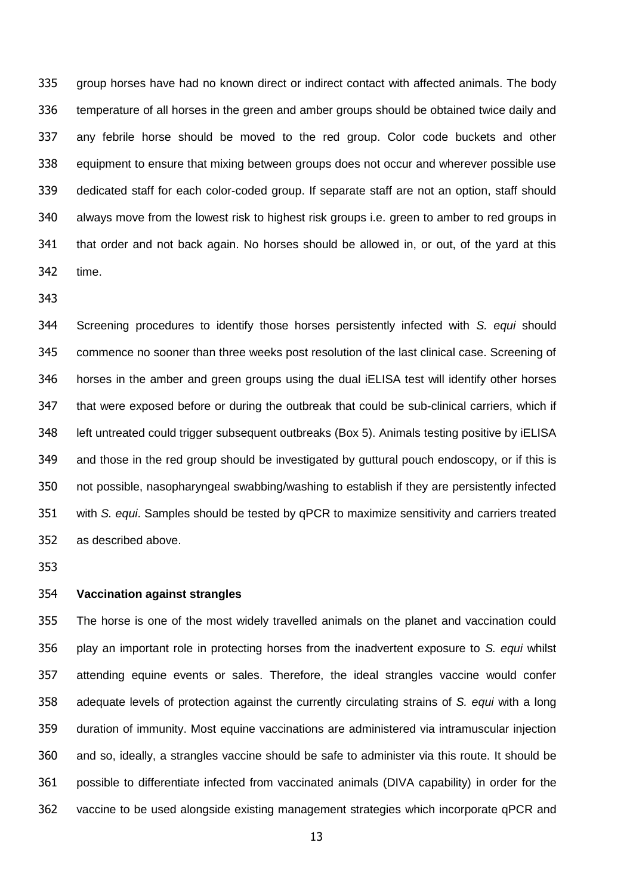group horses have had no known direct or indirect contact with affected animals. The body temperature of all horses in the green and amber groups should be obtained twice daily and any febrile horse should be moved to the red group. Color code buckets and other equipment to ensure that mixing between groups does not occur and wherever possible use dedicated staff for each color-coded group. If separate staff are not an option, staff should always move from the lowest risk to highest risk groups i.e. green to amber to red groups in that order and not back again. No horses should be allowed in, or out, of the yard at this time.

 Screening procedures to identify those horses persistently infected with *S. equi* should commence no sooner than three weeks post resolution of the last clinical case. Screening of horses in the amber and green groups using the dual iELISA test will identify other horses that were exposed before or during the outbreak that could be sub-clinical carriers, which if left untreated could trigger subsequent outbreaks (Box 5). Animals testing positive by iELISA and those in the red group should be investigated by guttural pouch endoscopy, or if this is not possible, nasopharyngeal swabbing/washing to establish if they are persistently infected with *S. equi*. Samples should be tested by qPCR to maximize sensitivity and carriers treated as described above.

## **Vaccination against strangles**

 The horse is one of the most widely travelled animals on the planet and vaccination could play an important role in protecting horses from the inadvertent exposure to *S. equi* whilst attending equine events or sales. Therefore, the ideal strangles vaccine would confer adequate levels of protection against the currently circulating strains of *S. equi* with a long duration of immunity. Most equine vaccinations are administered via intramuscular injection and so, ideally, a strangles vaccine should be safe to administer via this route. It should be possible to differentiate infected from vaccinated animals (DIVA capability) in order for the vaccine to be used alongside existing management strategies which incorporate qPCR and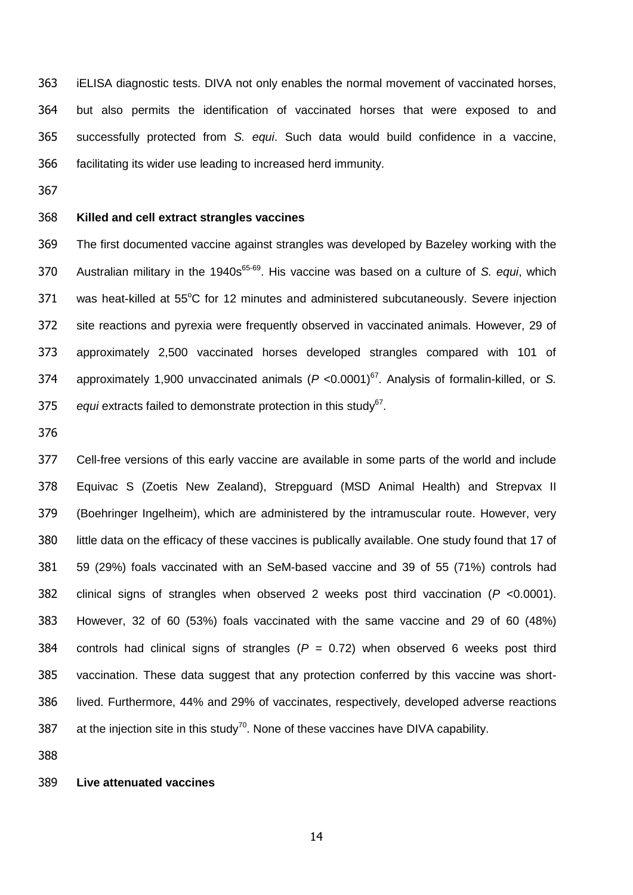iELISA diagnostic tests. DIVA not only enables the normal movement of vaccinated horses, but also permits the identification of vaccinated horses that were exposed to and successfully protected from *S. equi*. Such data would build confidence in a vaccine, facilitating its wider use leading to increased herd immunity.

## **Killed and cell extract strangles vaccines**

 The first documented vaccine against strangles was developed by Bazeley working with the 370 Australian military in the 1940s<sup>65-69</sup>. His vaccine was based on a culture of *S. equi*, which 371 was heat-killed at 55°C for 12 minutes and administered subcutaneously. Severe injection site reactions and pyrexia were frequently observed in vaccinated animals. However, 29 of approximately 2,500 vaccinated horses developed strangles compared with 101 of 374 approximately 1,900 unvaccinated animals ( $P < 0.0001$ <sup>67</sup>. Analysis of formalin-killed, or *S.* 375 equi extracts failed to demonstrate protection in this study<sup>67</sup>.

 Cell-free versions of this early vaccine are available in some parts of the world and include Equivac S (Zoetis New Zealand), Strepguard (MSD Animal Health) and Strepvax II (Boehringer Ingelheim), which are administered by the intramuscular route. However, very 380 little data on the efficacy of these vaccines is publically available. One study found that 17 of 59 (29%) foals vaccinated with an SeM-based vaccine and 39 of 55 (71%) controls had clinical signs of strangles when observed 2 weeks post third vaccination (*P* <0.0001). However, 32 of 60 (53%) foals vaccinated with the same vaccine and 29 of 60 (48%) controls had clinical signs of strangles (*P* = 0.72) when observed 6 weeks post third vaccination. These data suggest that any protection conferred by this vaccine was short- lived. Furthermore, 44% and 29% of vaccinates, respectively, developed adverse reactions 387 at the injection site in this study<sup>70</sup>. None of these vaccines have DIVA capability.

#### **Live attenuated vaccines**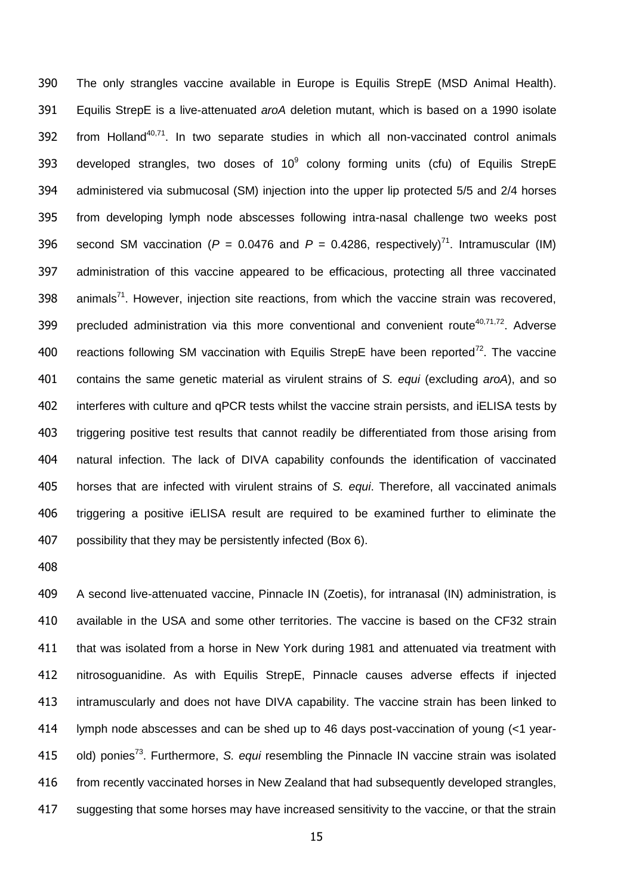The only strangles vaccine available in Europe is Equilis StrepE (MSD Animal Health). Equilis StrepE is a live-attenuated *aroA* deletion mutant, which is based on a 1990 isolate  $\pm$  from Holland<sup>40,71</sup>. In two separate studies in which all non-vaccinated control animals 393 developed strangles, two doses of 10 $^9$  colony forming units (cfu) of Equilis StrepE administered via submucosal (SM) injection into the upper lip protected 5/5 and 2/4 horses from developing lymph node abscesses following intra-nasal challenge two weeks post 396 second SM vaccination ( $P = 0.0476$  and  $P = 0.4286$ , respectively)<sup>71</sup>. Intramuscular (IM) administration of this vaccine appeared to be efficacious, protecting all three vaccinated animals<sup>71</sup>. However, injection site reactions, from which the vaccine strain was recovered, 399 precluded administration via this more conventional and convenient route<sup>40,71,72</sup>. Adverse 400 reactions following SM vaccination with Equilis StrepE have been reported<sup>72</sup>. The vaccine contains the same genetic material as virulent strains of *S. equi* (excluding *aroA*), and so interferes with culture and qPCR tests whilst the vaccine strain persists, and iELISA tests by triggering positive test results that cannot readily be differentiated from those arising from natural infection. The lack of DIVA capability confounds the identification of vaccinated horses that are infected with virulent strains of *S. equi*. Therefore, all vaccinated animals triggering a positive iELISA result are required to be examined further to eliminate the possibility that they may be persistently infected (Box 6).

 A second live-attenuated vaccine, Pinnacle IN (Zoetis), for intranasal (IN) administration, is available in the USA and some other territories. The vaccine is based on the CF32 strain that was isolated from a horse in New York during 1981 and attenuated via treatment with nitrosoguanidine. As with Equilis StrepE, Pinnacle causes adverse effects if injected intramuscularly and does not have DIVA capability. The vaccine strain has been linked to lymph node abscesses and can be shed up to 46 days post-vaccination of young (<1 year-415 old) ponies<sup>73</sup>. Furthermore, *S. equi* resembling the Pinnacle IN vaccine strain was isolated 416 from recently vaccinated horses in New Zealand that had subsequently developed strangles, suggesting that some horses may have increased sensitivity to the vaccine, or that the strain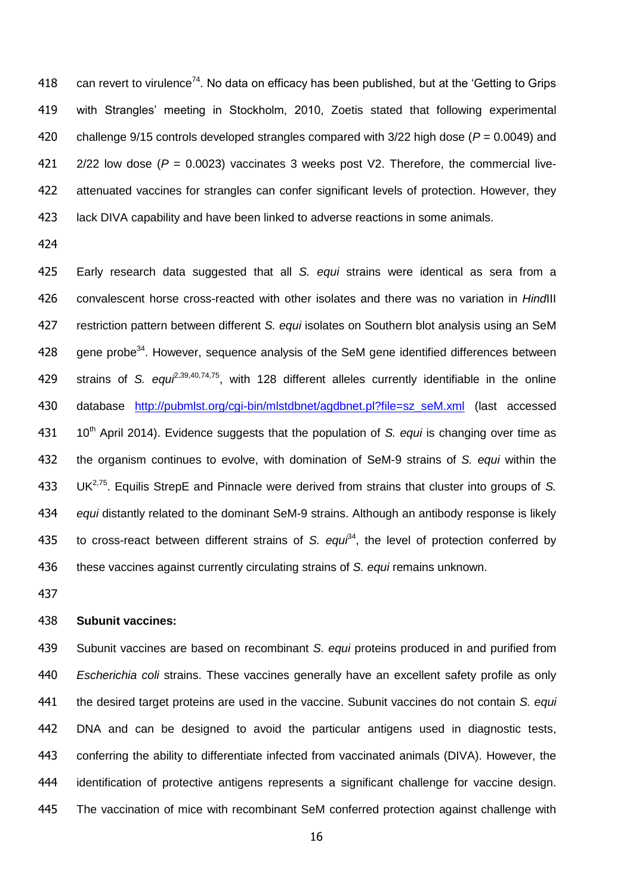$\degree$  can revert to virulence<sup>74</sup>. No data on efficacy has been published, but at the 'Getting to Grips with Strangles' meeting in Stockholm, 2010, Zoetis stated that following experimental challenge 9/15 controls developed strangles compared with 3/22 high dose (*P* = 0.0049) and  $2/22$  low dose ( $P = 0.0023$ ) vaccinates 3 weeks post V2. Therefore, the commercial live- attenuated vaccines for strangles can confer significant levels of protection. However, they lack DIVA capability and have been linked to adverse reactions in some animals.

 Early research data suggested that all *S. equi* strains were identical as sera from a convalescent horse cross-reacted with other isolates and there was no variation in *Hind*III restriction pattern between different *S. equi* isolates on Southern blot analysis using an SeM 428 gene probe<sup>34</sup>. However, sequence analysis of the SeM gene identified differences between 429 strains of *S. equ<sup>2,39,40,74,75*, with 128 different alleles currently identifiable in the online</sup> database [http://pubmlst.org/cgi-bin/mlstdbnet/agdbnet.pl?file=sz\\_seM.xml](http://pubmlst.org/cgi-bin/mlstdbnet/agdbnet.pl?file=sz_seM.xml) (last accessed th April 2014). Evidence suggests that the population of *S. equi* is changing over time as the organism continues to evolve, with domination of SeM-9 strains of *S. equi* within the UK2,75 . Equilis StrepE and Pinnacle were derived from strains that cluster into groups of *S. equi* distantly related to the dominant SeM-9 strains. Although an antibody response is likely 435 to cross-react between different strains of *S. equi*<sup>34</sup>, the level of protection conferred by these vaccines against currently circulating strains of *S. equi* remains unknown.

### **Subunit vaccines:**

 Subunit vaccines are based on recombinant *S. equi* proteins produced in and purified from *Escherichia coli* strains. These vaccines generally have an excellent safety profile as only the desired target proteins are used in the vaccine. Subunit vaccines do not contain *S. equi* DNA and can be designed to avoid the particular antigens used in diagnostic tests, conferring the ability to differentiate infected from vaccinated animals (DIVA). However, the identification of protective antigens represents a significant challenge for vaccine design. The vaccination of mice with recombinant SeM conferred protection against challenge with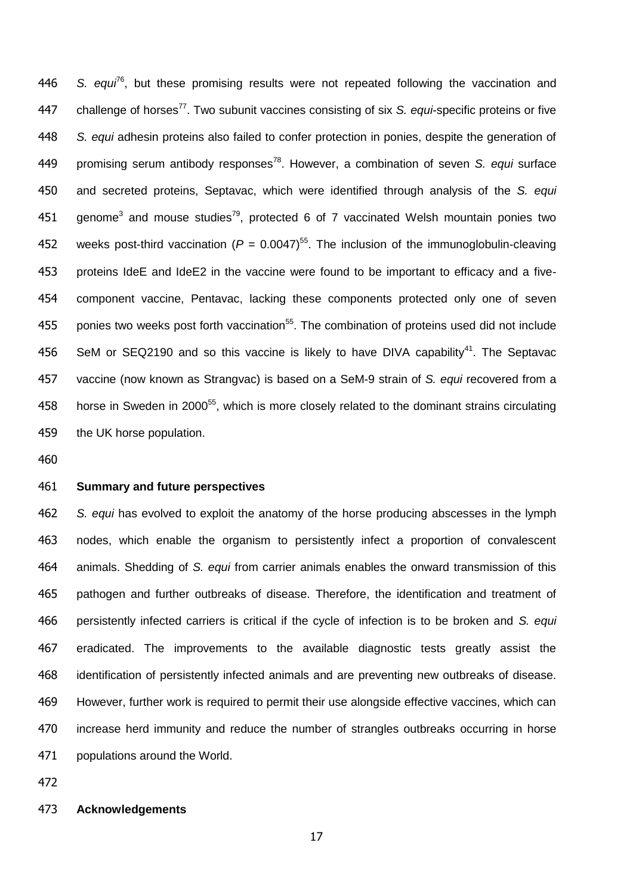446 S. equi<sup>76</sup>, but these promising results were not repeated following the vaccination and 447 challenge of horses<sup>77</sup>. Two subunit vaccines consisting of six *S. equi-specific proteins or five S. equi* adhesin proteins also failed to confer protection in ponies, despite the generation of 449 promising serum antibody responses<sup>78</sup>. However, a combination of seven *S. equi* surface and secreted proteins, Septavac, which were identified through analysis of the *S. equi* 451 genome<sup>3</sup> and mouse studies<sup>79</sup>, protected 6 of 7 vaccinated Welsh mountain ponies two 452 weeks post-third vaccination ( $P = 0.0047$ )<sup>55</sup>. The inclusion of the immunoglobulin-cleaving proteins IdeE and IdeE2 in the vaccine were found to be important to efficacy and a five- component vaccine, Pentavac, lacking these components protected only one of seven 455 bonies two weeks post forth vaccination<sup>55</sup>. The combination of proteins used did not include 456 SeM or SEQ2190 and so this vaccine is likely to have DIVA capability<sup>41</sup>. The Septavac vaccine (now known as Strangvac) is based on a SeM-9 strain of *S. equi* recovered from a 458 horse in Sweden in 2000<sup>55</sup>, which is more closely related to the dominant strains circulating the UK horse population.

#### **Summary and future perspectives**

 *S. equi* has evolved to exploit the anatomy of the horse producing abscesses in the lymph nodes, which enable the organism to persistently infect a proportion of convalescent animals. Shedding of *S. equi* from carrier animals enables the onward transmission of this pathogen and further outbreaks of disease. Therefore, the identification and treatment of persistently infected carriers is critical if the cycle of infection is to be broken and *S. equi* eradicated. The improvements to the available diagnostic tests greatly assist the identification of persistently infected animals and are preventing new outbreaks of disease. However, further work is required to permit their use alongside effective vaccines, which can increase herd immunity and reduce the number of strangles outbreaks occurring in horse populations around the World.

# **Acknowledgements**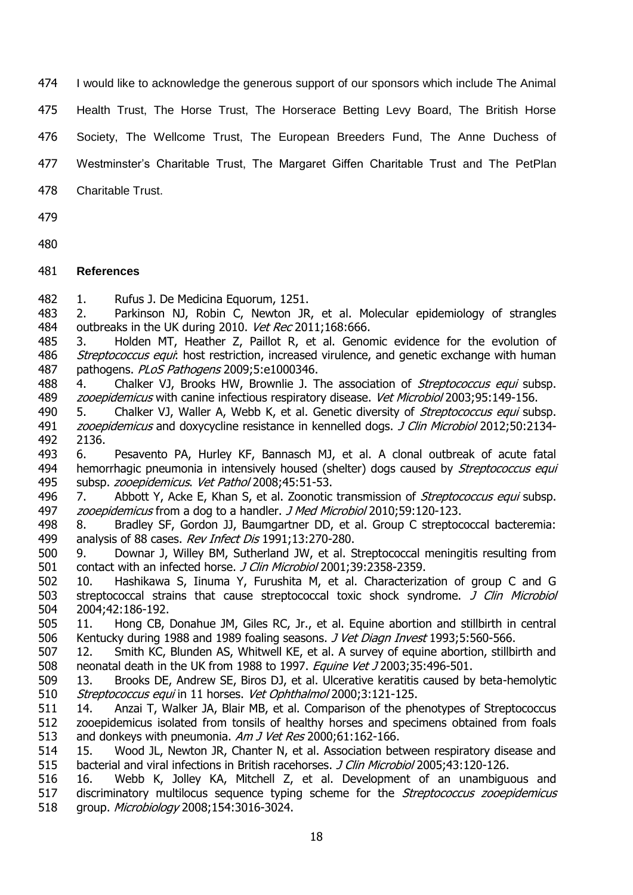- 474 I would like to acknowledge the generous support of our sponsors which include The Animal
- 475 Health Trust, The Horse Trust, The Horserace Betting Levy Board, The British Horse
- 476 Society, The Wellcome Trust, The European Breeders Fund, The Anne Duchess of
- 477 Westminster's Charitable Trust, The Margaret Giffen Charitable Trust and The PetPlan
- 478 Charitable Trust.
- 479
- 480

# 481 **References**

482 1. Rufus J. De Medicina Equorum, 1251.

- 483 2. Parkinson NJ, Robin C, Newton JR, et al. Molecular epidemiology of strangles 484 outbreaks in the UK during 2010. Vet Rec 2011;168:666.
- 485 3. Holden MT, Heather Z, Paillot R, et al. Genomic evidence for the evolution of 486 Streptococcus equi: host restriction, increased virulence, and genetic exchange with human 487 pathogens. PLoS Pathogens 2009;5:e1000346.
- 488 4. Chalker VJ, Brooks HW, Brownlie J. The association of *Streptococcus equi* subsp. 489 zooepidemicus with canine infectious respiratory disease. Vet Microbiol 2003;95:149-156.
- 490 5. Chalker VJ, Waller A, Webb K, et al. Genetic diversity of *Streptococcus equi* subsp. 491 *zooepidemicus* and doxycycline resistance in kennelled dogs. *J Clin Microbiol* 2012:50:2134-492 2136.
- 493 6. Pesavento PA, Hurley KF, Bannasch MJ, et al. A clonal outbreak of acute fatal 494 hemorrhagic pneumonia in intensively housed (shelter) dogs caused by Streptococcus equi 495 subsp. zooepidemicus. Vet Pathol 2008;45:51-53.
- 496 7. Abbott Y, Acke E, Khan S, et al. Zoonotic transmission of *Streptococcus equi* subsp. 497 zooepidemicus from a dog to a handler. J Med Microbiol 2010;59:120-123.
- 498 8. Bradley SF, Gordon JJ, Baumgartner DD, et al. Group C streptococcal bacteremia: 499 analysis of 88 cases. Rev Infect Dis 1991;13:270-280.
- 500 9. Downar J, Willey BM, Sutherland JW, et al. Streptococcal meningitis resulting from 501 contact with an infected horse. *J Clin Microbiol* 2001;39:2358-2359.
- 502 10. Hashikawa S, Iinuma Y, Furushita M, et al. Characterization of group C and G 503 streptococcal strains that cause streptococcal toxic shock syndrome. *J Clin Microbiol* 504 2004;42:186-192.
- 505 11. Hong CB, Donahue JM, Giles RC, Jr., et al. Equine abortion and stillbirth in central 506 Kentucky during 1988 and 1989 foaling seasons. J Vet Diagn Invest 1993;5:560-566.
- 507 12. Smith KC, Blunden AS, Whitwell KE, et al. A survey of equine abortion, stillbirth and 508 neonatal death in the UK from 1988 to 1997. Equine Vet J 2003;35:496-501.
- 509 13. Brooks DE, Andrew SE, Biros DJ, et al. Ulcerative keratitis caused by beta-hemolytic 510 Streptococcus equi in 11 horses. Vet Ophthalmol 2000;3:121-125.
- 511 14. Anzai T, Walker JA, Blair MB, et al. Comparison of the phenotypes of Streptococcus 512 zooepidemicus isolated from tonsils of healthy horses and specimens obtained from foals 513 and donkeys with pneumonia. Am J Vet Res 2000;61:162-166.
- 514 15. Wood JL, Newton JR, Chanter N, et al. Association between respiratory disease and 515 bacterial and viral infections in British racehorses. *J Clin Microbiol* 2005;43:120-126.
- 516 16. Webb K, Jolley KA, Mitchell Z, et al. Development of an unambiguous and 517 discriminatory multilocus sequence typing scheme for the Streptococcus zooepidemicus 518 group. Microbiology 2008;154:3016-3024.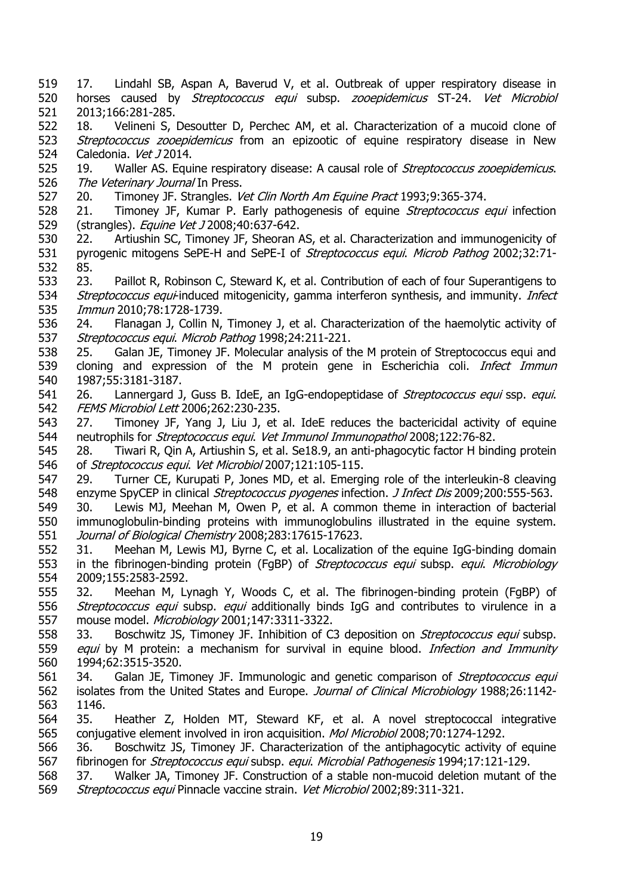- 519 17. Lindahl SB, Aspan A, Baverud V, et al. Outbreak of upper respiratory disease in 520 horses caused by Streptococcus equi subsp. zooepidemicus ST-24. Vet Microbiol 521 2013;166:281-285.
- 522 18. Velineni S, Desoutter D, Perchec AM, et al. Characterization of a mucoid clone of 523 Streptococcus zooepidemicus from an epizootic of equine respiratory disease in New 524 Caledonia. Vet J 2014.
- 525 19. Waller AS. Equine respiratory disease: A causal role of *Streptococcus zooepidemicus*. 526 The Veterinary Journal In Press.
- 527 20. Timoney JF. Strangles. Vet Clin North Am Equine Pract 1993:9:365-374.
- 528 21. Timoney JF, Kumar P. Early pathogenesis of equine *Streptococcus equi* infection 529 (strangles). *Equine Vet J* 2008;40:637-642.
- 530 22. Artiushin SC, Timoney JF, Sheoran AS, et al. Characterization and immunogenicity of 531 pyrogenic mitogens SePE-H and SePE-I of *Streptococcus equi. Microb Pathog* 2002;32:71-532 85.
- 533 23. Paillot R, Robinson C, Steward K, et al. Contribution of each of four Superantigens to 534 Streptococcus equi-induced mitogenicity, gamma interferon synthesis, and immunity. *Infect* 535 Immun 2010;78:1728-1739.
- 536 24. Flanagan J, Collin N, Timoney J, et al. Characterization of the haemolytic activity of 537 Streptococcus equi. Microb Pathog 1998;24:211-221.
- 538 25. Galan JE, Timoney JF. Molecular analysis of the M protein of Streptococcus equi and 539 cloning and expression of the M protein gene in Escherichia coli. *Infect Immun* 540 1987;55:3181-3187.
- 541 26. Lannergard J, Guss B. IdeE, an IgG-endopeptidase of Streptococcus equi ssp. equi. 542 FEMS Microbiol Lett 2006;262:230-235.
- 543 27. Timoney JF, Yang J, Liu J, et al. IdeE reduces the bactericidal activity of equine 544 neutrophils for *Streptococcus equi. Vet Immunol Immunopathol* 2008:122:76-82.
- 545 28. Tiwari R, Qin A, Artiushin S, et al. Se18.9, an anti-phagocytic factor H binding protein 546 of *Streptococcus equi. Vet Microbiol* 2007;121:105-115.
- 547 29. Turner CE, Kurupati P, Jones MD, et al. Emerging role of the interleukin-8 cleaving 548 enzyme SpyCEP in clinical *Streptococcus pyogenes* infection. *J Infect Dis* 2009;200:555-563.
- 549 30. Lewis MJ, Meehan M, Owen P, et al. A common theme in interaction of bacterial 550 immunoglobulin-binding proteins with immunoglobulins illustrated in the equine system. 551 Journal of Biological Chemistry 2008;283:17615-17623.
- 552 31. Meehan M, Lewis MJ, Byrne C, et al. Localization of the equine IgG-binding domain 553 in the fibrinogen-binding protein (FgBP) of *Streptococcus equi* subsp. *equi. Microbiology* 554 2009;155:2583-2592.
- 555 32. Meehan M, Lynagh Y, Woods C, et al. The fibrinogen-binding protein (FgBP) of 556 Streptococcus equi subsp. equi additionally binds IgG and contributes to virulence in a 557 mouse model. Microbiology 2001;147:3311-3322.
- 558 33. Boschwitz JS, Timoney JF, Inhibition of C3 deposition on *Streptococcus equi* subsp. 559 equi by M protein: a mechanism for survival in equine blood. Infection and Immunity 560 1994;62:3515-3520.
- 561 34. Galan JE, Timoney JF. Immunologic and genetic comparison of *Streptococcus equi* 562 isolates from the United States and Europe. Journal of Clinical Microbiology 1988;26:1142-563 1146.
- 564 35. Heather Z, Holden MT, Steward KF, et al. A novel streptococcal integrative 565 conjugative element involved in iron acquisition. Mol Microbiol 2008;70:1274-1292.
- 566 36. Boschwitz JS, Timoney JF. Characterization of the antiphagocytic activity of equine 567 fibrinogen for *Streptococcus equi* subsp. *equi. Microbial Pathogenesis* 1994;17:121-129.
- 568 37. Walker JA, Timoney JF. Construction of a stable non-mucoid deletion mutant of the 569 Streptococcus equi Pinnacle vaccine strain. Vet Microbiol 2002;89:311-321.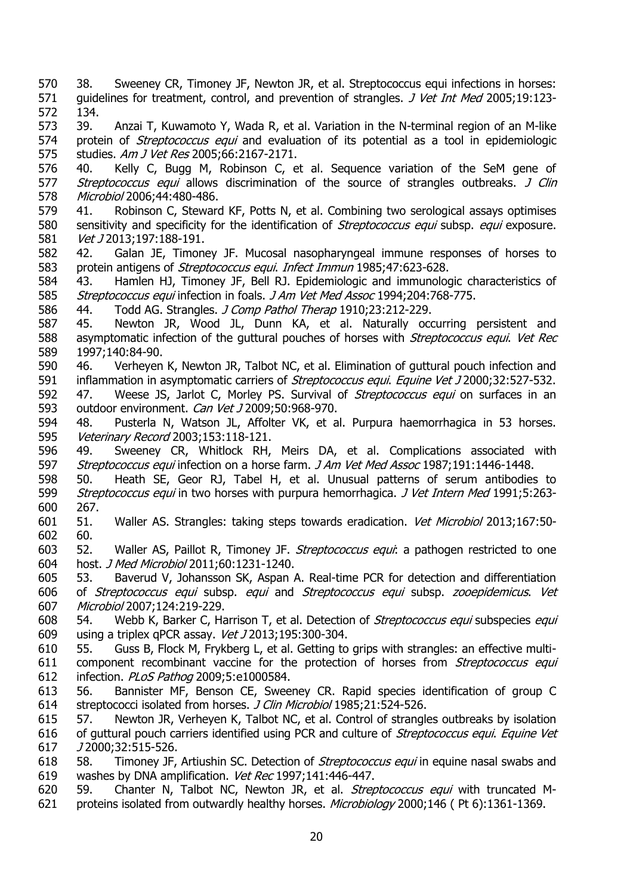- 570 38. Sweeney CR, Timoney JF, Newton JR, et al. Streptococcus equi infections in horses: 571 guidelines for treatment, control, and prevention of strangles. *J Vet Int Med* 2005;19:123-572 134.
- 573 39. Anzai T, Kuwamoto Y, Wada R, et al. Variation in the N-terminal region of an M-like 574 protein of *Streptococcus equi* and evaluation of its potential as a tool in epidemiologic 575 studies. Am J Vet Res 2005;66:2167-2171.
- 576 40. Kelly C, Bugg M, Robinson C, et al. Sequence variation of the SeM gene of 577 Streptococcus equi allows discrimination of the source of strangles outbreaks. J Clin 578 Microbiol 2006;44:480-486.
- 579 41. Robinson C, Steward KF, Potts N, et al. Combining two serological assays optimises 580 sensitivity and specificity for the identification of *Streptococcus equi* subsp. *equi* exposure. 581 Vet J 2013;197:188-191.
- 582 42. Galan JE, Timoney JF. Mucosal nasopharyngeal immune responses of horses to 583 protein antigens of *Streptococcus equi. Infect Immun* 1985;47:623-628.
- 584 43. Hamlen HJ, Timoney JF, Bell RJ. Epidemiologic and immunologic characteristics of 585 Streptococcus equi infection in foals. J Am Vet Med Assoc 1994;204:768-775.
- 586 44. Todd AG. Strangles. J Comp Pathol Therap 1910;23:212-229.
- 587 45. Newton JR, Wood JL, Dunn KA, et al. Naturally occurring persistent and 588 asymptomatic infection of the guttural pouches of horses with *Streptococcus equi. Vet Rec* 589 1997;140:84-90.
- 590 46. Verheyen K, Newton JR, Talbot NC, et al. Elimination of guttural pouch infection and 591 inflammation in asymptomatic carriers of *Streptococcus equi. Equine Vet J* 2000;32:527-532.
- 592 47. Weese JS, Jarlot C, Morley PS. Survival of *Streptococcus equi* on surfaces in an 593 outdoor environment. Can Vet J 2009;50:968-970.
- 594 48. Pusterla N, Watson JL, Affolter VK, et al. Purpura haemorrhagica in 53 horses. 595 Veterinary Record 2003;153:118-121.
- 596 49. Sweeney CR, Whitlock RH, Meirs DA, et al. Complications associated with 597 Streptococcus equi infection on a horse farm. J Am Vet Med Assoc 1987;191:1446-1448.
- 598 50. Heath SE, Geor RJ, Tabel H, et al. Unusual patterns of serum antibodies to 599 Streptococcus equi in two horses with purpura hemorrhagica. J Vet Intern Med 1991;5:263-600 267.
- 601 51. Waller AS. Strangles: taking steps towards eradication. Vet Microbiol 2013;167:50- 602 60.
- 603 52. Waller AS, Paillot R, Timoney JF. Streptococcus equi: a pathogen restricted to one 604 host. J Med Microbiol 2011;60:1231-1240.
- 605 53. Baverud V, Johansson SK, Aspan A. Real-time PCR for detection and differentiation 606 of Streptococcus equi subsp. equi and Streptococcus equi subsp. zooepidemicus. Vet 607 Microbiol 2007;124:219-229.
- 608 54. Webb K, Barker C, Harrison T, et al. Detection of *Streptococcus equi* subspecies equi 609 using a triplex qPCR assay. Vet J 2013;195:300-304.
- 610 55. Guss B, Flock M, Frykberg L, et al. Getting to grips with strangles: an effective multi-611 component recombinant vaccine for the protection of horses from Streptococcus equi 612 infection. *PLoS Pathog* 2009;5:e1000584.
- 613 56. Bannister MF, Benson CE, Sweeney CR. Rapid species identification of group C 614 streptococci isolated from horses. *J Clin Microbiol* 1985;21:524-526.
- 615 57. Newton JR, Verheyen K, Talbot NC, et al. Control of strangles outbreaks by isolation 616 of guttural pouch carriers identified using PCR and culture of *Streptococcus equi. Equine Vet* 617 J 2000;32:515-526.
- 618 58. Timoney JF, Artiushin SC. Detection of *Streptococcus equi* in equine nasal swabs and 619 washes by DNA amplification. Vet Rec 1997;141:446-447.
- 620 59. Chanter N, Talbot NC, Newton JR, et al. Streptococcus equi with truncated M-621 proteins isolated from outwardly healthy horses. Microbiology 2000;146 (Pt 6):1361-1369.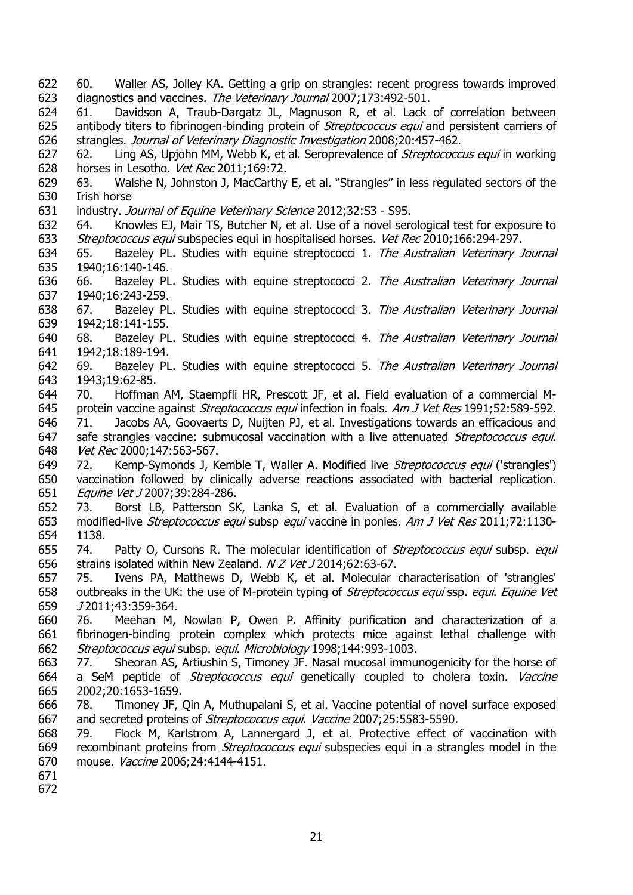60. Waller AS, Jolley KA. Getting a grip on strangles: recent progress towards improved 623 diagnostics and vaccines. The Veterinary Journal 2007;173:492-501. 61. Davidson A, Traub-Dargatz JL, Magnuson R, et al. Lack of correlation between 625 antibody titers to fibrinogen-binding protein of *Streptococcus equi* and persistent carriers of strangles. Journal of Veterinary Diagnostic Investigation 2008;20:457-462. 627 62. Ling AS, Upjohn MM, Webb K, et al. Seroprevalence of *Streptococcus equi* in working 628 horses in Lesotho. Vet Rec 2011;169:72. 63. Walshe N, Johnston J, MacCarthy E, et al. "Strangles" in less regulated sectors of the Irish horse industry. Journal of Equine Veterinary Science 2012;32:S3 - S95. 64. Knowles EJ, Mair TS, Butcher N, et al. Use of a novel serological test for exposure to 633 Streptococcus equi subspecies equi in hospitalised horses. Vet Rec 2010:166:294-297. 634 65. Bazeley PL. Studies with equine streptococci 1. The Australian Veterinary Journal 1940;16:140-146. 636 66. Bazeley PL. Studies with equine streptococci 2. The Australian Veterinary Journal 1940;16:243-259. 67. Bazeley PL. Studies with equine streptococci 3. The Australian Veterinary Journal 1942;18:141-155. 640 68. Bazeley PL. Studies with equine streptococci 4. The Australian Veterinary Journal 1942;18:189-194. 642 69. Bazeley PL. Studies with equine streptococci 5. The Australian Veterinary Journal 1943;19:62-85. 70. Hoffman AM, Staempfli HR, Prescott JF, et al. Field evaluation of a commercial M-645 protein vaccine against *Streptococcus equi* infection in foals. Am J Vet Res 1991;52:589-592. 71. Jacobs AA, Goovaerts D, Nuijten PJ, et al. Investigations towards an efficacious and 647 safe strangles vaccine: submucosal vaccination with a live attenuated *Streptococcus equi*. Vet Rec 2000;147:563-567. 649 72. Kemp-Symonds J, Kemble T, Waller A. Modified live *Streptococcus equi* ('strangles') vaccination followed by clinically adverse reactions associated with bacterial replication. Equine Vet J 2007;39:284-286. 73. Borst LB, Patterson SK, Lanka S, et al. Evaluation of a commercially available 653 modified-live *Streptococcus equi* subsp *equi* vaccine in ponies. Am J Vet Res 2011;72:1130- 1138. 655 74. Patty O, Cursons R. The molecular identification of Streptococcus equi subsp. equi 656 strains isolated within New Zealand. N Z Vet J 2014;62:63-67. 75. Ivens PA, Matthews D, Webb K, et al. Molecular characterisation of 'strangles' 658 outbreaks in the UK: the use of M-protein typing of *Streptococcus equi* ssp. *equi. Equine Vet*  J 2011;43:359-364. 76. Meehan M, Nowlan P, Owen P. Affinity purification and characterization of a fibrinogen-binding protein complex which protects mice against lethal challenge with Streptococcus equi subsp. equi. Microbiology 1998;144:993-1003. 77. Sheoran AS, Artiushin S, Timoney JF. Nasal mucosal immunogenicity for the horse of 664 a SeM peptide of *Streptococcus equi* genetically coupled to cholera toxin. Vaccine 2002;20:1653-1659. 78. Timoney JF, Qin A, Muthupalani S, et al. Vaccine potential of novel surface exposed 667 and secreted proteins of *Streptococcus equi. Vaccine* 2007;25:5583-5590. 79. Flock M, Karlstrom A, Lannergard J, et al. Protective effect of vaccination with 669 recombinant proteins from *Streptococcus equi* subspecies equi in a strangles model in the mouse. Vaccine 2006;24:4144-4151.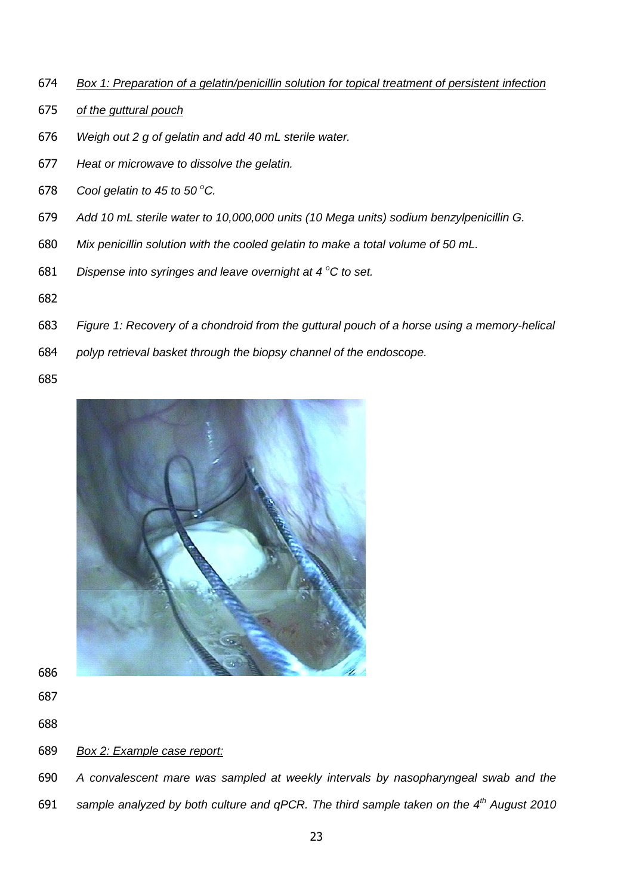- *Box 1: Preparation of a gelatin/penicillin solution for topical treatment of persistent infection*
- *of the guttural pouch*
- *Weigh out 2 g of gelatin and add 40 mL sterile water.*
- *Heat or microwave to dissolve the gelatin.*
- *Cool gelatin to 45 to 50 <sup>o</sup> C.*
- *Add 10 mL sterile water to 10,000,000 units (10 Mega units) sodium benzylpenicillin G.*
- *Mix penicillin solution with the cooled gelatin to make a total volume of 50 mL.*
- *Dispense into syringes and leave overnight at 4 <sup>o</sup> C to set.*
- 
- *Figure 1: Recovery of a chondroid from the guttural pouch of a horse using a memory-helical*
- *polyp retrieval basket through the biopsy channel of the endoscope.*
- 



- 
- 
- 
- *Box 2: Example case report:*
- *A convalescent mare was sampled at weekly intervals by nasopharyngeal swab and the*
- *sample analyzed by both culture and qPCR. The third sample taken on the 4th August 2010*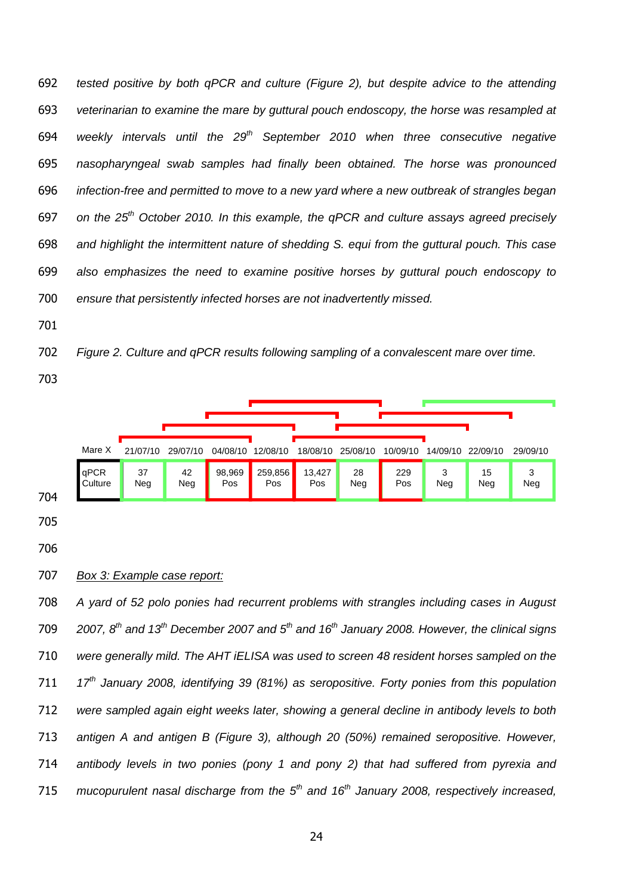*tested positive by both qPCR and culture (Figure 2), but despite advice to the attending veterinarian to examine the mare by guttural pouch endoscopy, the horse was resampled at weekly intervals until the 29th* 694 *September 2010 when three consecutive negative nasopharyngeal swab samples had finally been obtained. The horse was pronounced infection-free and permitted to move to a new yard where a new outbreak of strangles began on the 25th* 697 *October 2010. In this example, the qPCR and culture assays agreed precisely and highlight the intermittent nature of shedding S. equi from the guttural pouch. This case also emphasizes the need to examine positive horses by guttural pouch endoscopy to ensure that persistently infected horses are not inadvertently missed.*

701

702 *Figure 2. Culture and qPCR results following sampling of a convalescent mare over time.*

703



706

#### 707 *Box 3: Example case report:*

 *A yard of 52 polo ponies had recurrent problems with strangles including cases in August 2007, 8th and 13th December 2007 and 5th and 16th* 709 *January 2008. However, the clinical signs were generally mild. The AHT iELISA was used to screen 48 resident horses sampled on the th* 711 *January 2008, identifying 39 (81%) as seropositive. Forty ponies from this population were sampled again eight weeks later, showing a general decline in antibody levels to both antigen A and antigen B (Figure 3), although 20 (50%) remained seropositive. However, antibody levels in two ponies (pony 1 and pony 2) that had suffered from pyrexia and mucopurulent nasal discharge from the 5th and 16th* 715 *January 2008, respectively increased,*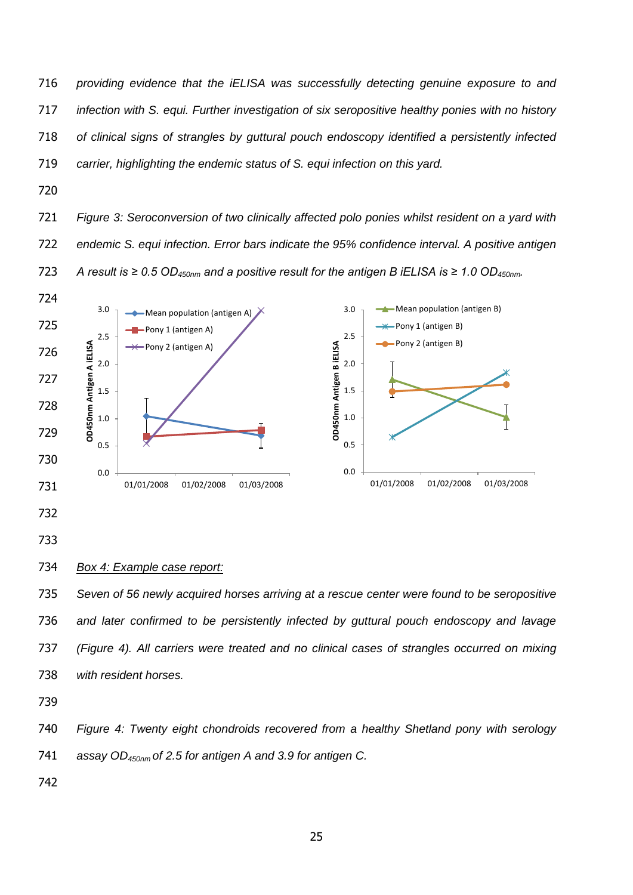*providing evidence that the iELISA was successfully detecting genuine exposure to and infection with S. equi. Further investigation of six seropositive healthy ponies with no history of clinical signs of strangles by guttural pouch endoscopy identified a persistently infected carrier, highlighting the endemic status of S. equi infection on this yard.*

720

721 *Figure 3: Seroconversion of two clinically affected polo ponies whilst resident on a yard with*  722 *endemic S. equi infection. Error bars indicate the 95% confidence interval. A positive antigen*  723 *A result is ≥ 0.5 OD450nm and a positive result for the antigen B iELISA is ≥ 1.0 OD450nm.*



733

### 734 *Box 4: Example case report:*

 *Seven of 56 newly acquired horses arriving at a rescue center were found to be seropositive and later confirmed to be persistently infected by guttural pouch endoscopy and lavage (Figure 4). All carriers were treated and no clinical cases of strangles occurred on mixing with resident horses.*

739

740 *Figure 4: Twenty eight chondroids recovered from a healthy Shetland pony with serology*  741 *assay OD450nm of 2.5 for antigen A and 3.9 for antigen C.*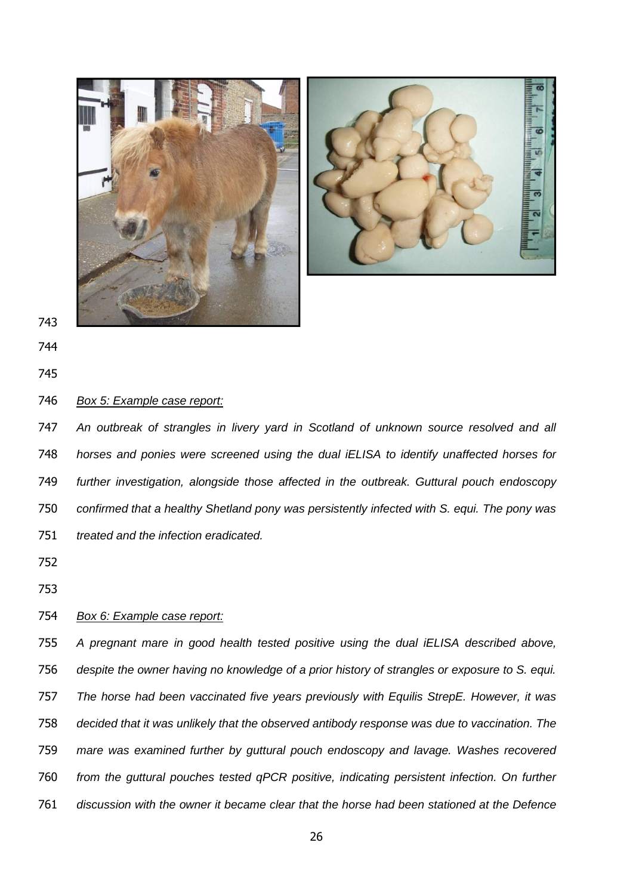



*Box 5: Example case report:*

 *An outbreak of strangles in livery yard in Scotland of unknown source resolved and all horses and ponies were screened using the dual iELISA to identify unaffected horses for further investigation, alongside those affected in the outbreak. Guttural pouch endoscopy confirmed that a healthy Shetland pony was persistently infected with S. equi. The pony was treated and the infection eradicated.*

# *Box 6: Example case report:*

 *A pregnant mare in good health tested positive using the dual iELISA described above, despite the owner having no knowledge of a prior history of strangles or exposure to S. equi. The horse had been vaccinated five years previously with Equilis StrepE. However, it was decided that it was unlikely that the observed antibody response was due to vaccination. The mare was examined further by guttural pouch endoscopy and lavage. Washes recovered from the guttural pouches tested qPCR positive, indicating persistent infection. On further discussion with the owner it became clear that the horse had been stationed at the Defence*